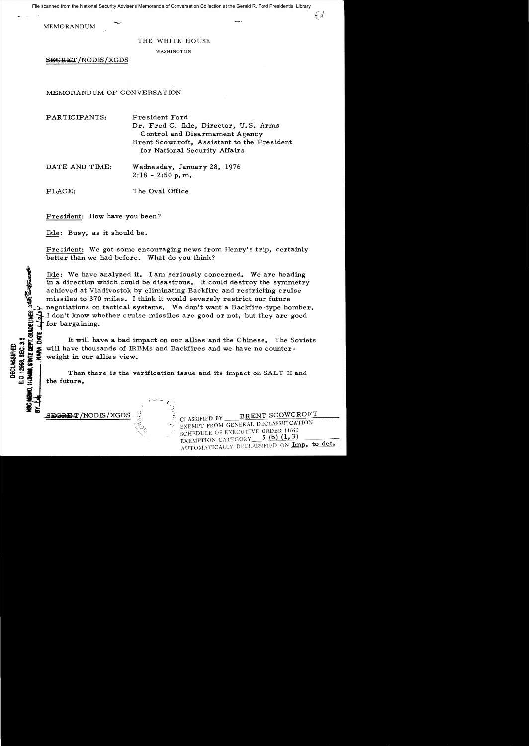File scanned from the National Security Adviser's Memoranda of Conversation Collection at the Gerald R. Ford Presidential Library

MEMORANDUM

## THE WHITE HOUSE

WASHINGTON

SEGRET/NODIS/XGDS

MEMORANDUM OF CONVERSATION

PARTICIPANTS: President Ford Dr. Fred C. Ikle, Director, U.S. Arms Control and Disarmament Agency Brent Scowcroft, Assistant to the President for National Security Affairs

DATE AND TIME: Wednesday, January 28, 1976 2: 18 - 2:50 **p. m.** 

PLACE: The Oval Office

President: How have you been?

Ikle: Busy, as it should be.

President: We got some encouraging news from Henry's trip, certainly better than we had before. What do you think?

Ikle: We have analyzed it. I am seriously concerned. We are heading in a direction which could be disastrous. It could destroy the symmetry achieved at Vladivostok by eliminating Backfire and restricting cruise missiles to 370 miles. I think it would severely restrict our future The state of the state of the state of the system of the system of the system of the system of the system of the system of the system of the system of the system of the system of the system of the system of the system of t I don't know whether cruise missiles are good or not, but they are good for bargaining.

:  $\frac{1}{100}$  is the U.S. It will have a bad impact on our allies and the Chinese. The Soviets<br>  $\frac{1}{100}$   $\frac{1}{100}$   $\frac{1}{100}$   $\frac{1}{100}$  weight in our allies view.<br>
Then there is the verification issue and its impac  $f_{\text{G}} = \begin{pmatrix} 0 & 0 & 0 \\ 0 & 0 & 0 \\ 0 & 0 & 0 \\ 0 & 0 & 0 \\ 0 & 0 & 0 \end{pmatrix}$  weight in our allies view.<br>
Then there is the verification issue and its impact on SALT II: weight in our allies view.

Then there is the verification issue and its impact on SALT II and **w::** the future.

~~ *-.i.* **SEGRET/NODIS/XGDS** 

CHEMO,

CLASSIFIED BY **BRENT SCOWCROFT** EXEMPT FROM GENERAL DECLASSIFICATION SCHEDULE OF EXECUTIVE ORDER 11652<br>EXEMPTION CATEGORY 5 (b) (1, 3) EXEMPTION CATEGORY 5 (D) (1, 3)<br>AUTOMATICALLY DECLASSIFIED ON Imp. to det.

(ef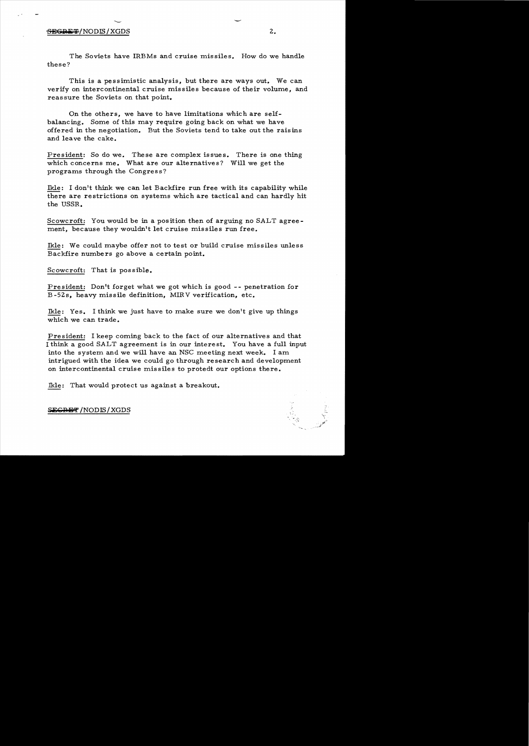## $S$ <del>isgriigit</del>/Nodis/XGDS 2.

This is a pessimistic analysis, but there are ways out. We can verify on intercontinental cruise missiles because of their volume, and reassure the Soviets on that point.

On the others, we have to have limitations which are selfbalancing. Some of this may require going back on what we have offered in the negotiation. But the Soviets tend to take out the raisins and leave the cake.

President: So do we. These are complex issues. There is one thing which concerns me. What are our alternatives? Will we get the programs through the Congress?

Ikle: I don't think we can let Backfire run free with its capability while there are restrictions on systems which are tactical and can hardly hit the USSR.

Scowcroft: You would be in a position then of arguing no SALT agreement, because they wouldn't let cruise missiles run free.

Ikle: We could maybe offer not to test or build cruise missiles unless Backfire numbers go above a certain point.

Scowcroft: That is possible.

President: Don't forget what we got which is good -- penetration for B -52s, heavy missile definition, MIRV verification, etc.

Ikle: Yes. I think we just have to make sure we don't give up things which we can trade.

President: I keep coming back to the fact of our alternatives and that I think a good SALT agreement is in our interest. You have a full input into the system and we will have an NSC meeting next week. I am intrigued with the idea we could go through research and development on intercontinental cruise missiles to protedt our options there.

Ikle: That would protect us against a breakout.

S<del>ECRET</del> /NODIS / XGDS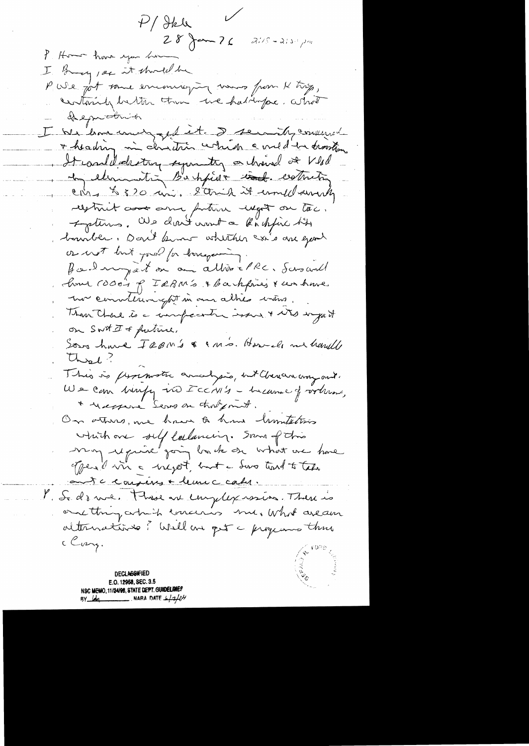$P/Heh$  $28$  Jam 76  $215 - 215$ P. Home have you have I Bring, see it should be P We got some encouraging waves from K trip, containing better than we had topse. what deepmotrish I We have court get et. I semily consent + heading in christian which a meditation It could delecting seguinty a channel of Vlad to elementin Bachfielt cont. cometing China & 320 min, Sterik it und swerty restrict association protein response on toc. Faturs. We don't wont a backfire his barrible. Dant kinne whither axi's are good or not but pour for tongering fail myet on an allie elle. Scroanl home room of Iskn's & backfines & we have ma communicação in our alher mins. Than Charl is a compactive issue & with waget on SWMI & future. Sons have IRBM's & IMS. Howell me hardle Chest? This is promote analysis, with there way and. We can berefy us Icc/11's - heavened fortunes, \* response Serve on thoughout. On others, we have a how limitations which are self collaming. Some of this may require going back on what we have offered in a negot, but a dove tout to take aute conséru + leure calu. l. S. drue. Those are employers in There is one thing article concernis me, what aream alternations? Well are get a programs thus c Cang.

**DECLASSIFIED** E.O. 12958, SEC. 3.5 NSC MEMO, 11/24/98, STATE DEPT. GUIDELINES NARA DATE  $\frac{1}{4}$